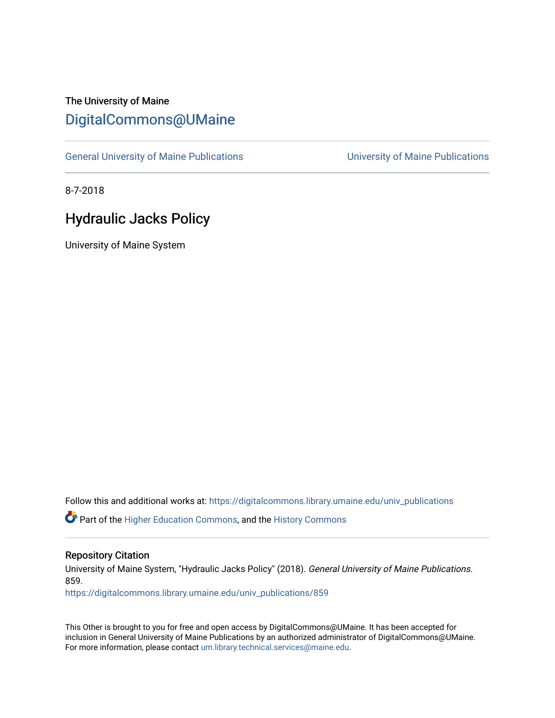# The University of Maine [DigitalCommons@UMaine](https://digitalcommons.library.umaine.edu/)

[General University of Maine Publications](https://digitalcommons.library.umaine.edu/univ_publications) [University of Maine Publications](https://digitalcommons.library.umaine.edu/umaine_publications) 

8-7-2018

# Hydraulic Jacks Policy

University of Maine System

Follow this and additional works at: [https://digitalcommons.library.umaine.edu/univ\\_publications](https://digitalcommons.library.umaine.edu/univ_publications?utm_source=digitalcommons.library.umaine.edu%2Funiv_publications%2F859&utm_medium=PDF&utm_campaign=PDFCoverPages) 

Part of the [Higher Education Commons,](http://network.bepress.com/hgg/discipline/1245?utm_source=digitalcommons.library.umaine.edu%2Funiv_publications%2F859&utm_medium=PDF&utm_campaign=PDFCoverPages) and the [History Commons](http://network.bepress.com/hgg/discipline/489?utm_source=digitalcommons.library.umaine.edu%2Funiv_publications%2F859&utm_medium=PDF&utm_campaign=PDFCoverPages)

### Repository Citation

University of Maine System, "Hydraulic Jacks Policy" (2018). General University of Maine Publications. 859.

[https://digitalcommons.library.umaine.edu/univ\\_publications/859](https://digitalcommons.library.umaine.edu/univ_publications/859?utm_source=digitalcommons.library.umaine.edu%2Funiv_publications%2F859&utm_medium=PDF&utm_campaign=PDFCoverPages) 

This Other is brought to you for free and open access by DigitalCommons@UMaine. It has been accepted for inclusion in General University of Maine Publications by an authorized administrator of DigitalCommons@UMaine. For more information, please contact [um.library.technical.services@maine.edu](mailto:um.library.technical.services@maine.edu).